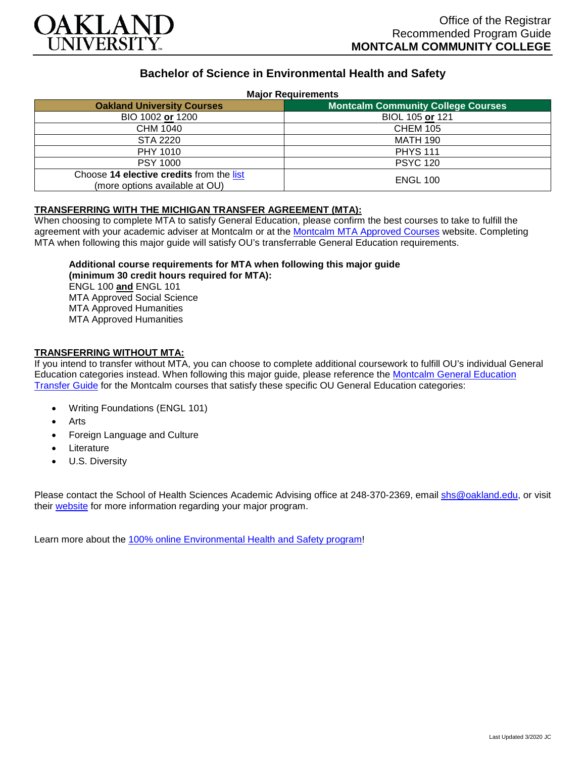

# **Bachelor of Science in Environmental Health and Safety**

#### **Major Requirements**

| <b>Oakland University Courses</b>                                          | <b>Montcalm Community College Courses</b> |
|----------------------------------------------------------------------------|-------------------------------------------|
| BIO 1002 or 1200                                                           | BIOL 105 or 121                           |
| CHM 1040                                                                   | <b>CHEM 105</b>                           |
| STA 2220                                                                   | <b>MATH 190</b>                           |
| PHY 1010                                                                   | <b>PHYS 111</b>                           |
| <b>PSY 1000</b>                                                            | <b>PSYC 120</b>                           |
| Choose 14 elective credits from the list<br>(more options available at OU) | <b>ENGL 100</b>                           |

#### **TRANSFERRING WITH THE MICHIGAN TRANSFER AGREEMENT (MTA):**

When choosing to complete MTA to satisfy General Education, please confirm the best courses to take to fulfill the agreement with your academic adviser at Montcalm or at the [Montcalm MTA Approved Courses](https://www.montcalm.edu/counseling/transfer/) website. Completing MTA when following this major guide will satisfy OU's transferrable General Education requirements.

#### **Additional course requirements for MTA when following this major guide**

**(minimum 30 credit hours required for MTA):** ENGL 100 **and** ENGL 101 MTA Approved Social Science MTA Approved Humanities MTA Approved Humanities

### **TRANSFERRING WITHOUT MTA:**

If you intend to transfer without MTA, you can choose to complete additional coursework to fulfill OU's individual General Education categories instead. When following this major guide, please reference the [Montcalm General Education](https://www.oakland.edu/Assets/Oakland/program-guides/montcalm-community-college/university-general-education-requirements/Montcalm%20Gen%20Ed.pdf)  [Transfer Guide](https://www.oakland.edu/Assets/Oakland/program-guides/montcalm-community-college/university-general-education-requirements/Montcalm%20Gen%20Ed.pdf) for the Montcalm courses that satisfy these specific OU General Education categories:

- Writing Foundations (ENGL 101)
- **Arts**
- Foreign Language and Culture
- **Literature**
- U.S. Diversity

Please contact the School of Health Sciences Academic Advising office at 248-370-2369, email [shs@oakland.edu,](mailto:shs@oakland.edu) or visit their [website](http://www.oakland.edu/shs/advising) for more information regarding your major program.

Learn more about the [100% online Environmental Health and Safety program!](https://www.oakland.edu/online/undergraduate-degree-programs/ehs/)